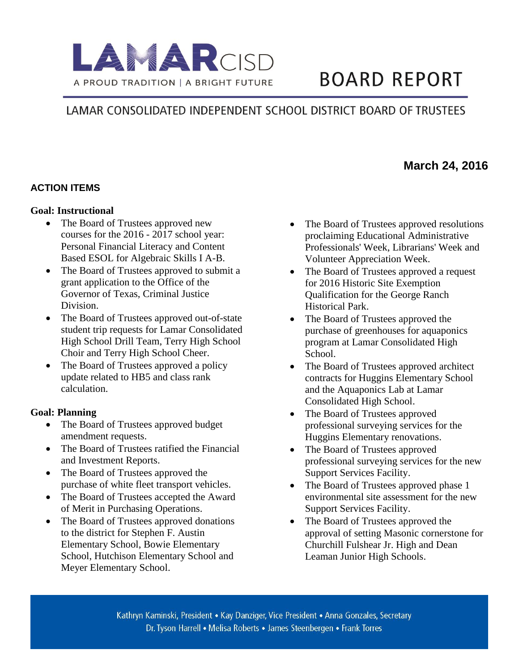

# **BOARD REPORT**

## LAMAR CONSOLIDATED INDEPENDENT SCHOOL DISTRICT BOARD OF TRUSTEES

### **March 24, 2016**

#### **ACTION ITEMS**

#### **Goal: Instructional**

- The Board of Trustees approved new courses for the 2016 - 2017 school year: Personal Financial Literacy and Content Based ESOL for Algebraic Skills I A-B.
- The Board of Trustees approved to submit a grant application to the Office of the Governor of Texas, Criminal Justice Division.
- The Board of Trustees approved out-of-state student trip requests for Lamar Consolidated High School Drill Team, Terry High School Choir and Terry High School Cheer.
- The Board of Trustees approved a policy update related to HB5 and class rank calculation.

#### **Goal: Planning**

- The Board of Trustees approved budget amendment requests.
- The Board of Trustees ratified the Financial and Investment Reports.
- The Board of Trustees approved the purchase of white fleet transport vehicles.
- The Board of Trustees accepted the Award of Merit in Purchasing Operations.
- The Board of Trustees approved donations to the district for Stephen F. Austin Elementary School, Bowie Elementary School, Hutchison Elementary School and Meyer Elementary School.
- The Board of Trustees approved resolutions proclaiming Educational Administrative Professionals' Week, Librarians' Week and Volunteer Appreciation Week.
- The Board of Trustees approved a request for 2016 Historic Site Exemption Qualification for the George Ranch Historical Park.
- The Board of Trustees approved the purchase of greenhouses for aquaponics program at Lamar Consolidated High School.
- The Board of Trustees approved architect contracts for Huggins Elementary School and the Aquaponics Lab at Lamar Consolidated High School.
- The Board of Trustees approved professional surveying services for the Huggins Elementary renovations.
- The Board of Trustees approved professional surveying services for the new Support Services Facility.
- The Board of Trustees approved phase 1 environmental site assessment for the new Support Services Facility.
- The Board of Trustees approved the approval of setting Masonic cornerstone for Churchill Fulshear Jr. High and Dean Leaman Junior High Schools.

Kathryn Kaminski, President • Kay Danziger, Vice President • Anna Gonzales, Secretary Dr. Tyson Harrell • Melisa Roberts • James Steenbergen • Frank Torres